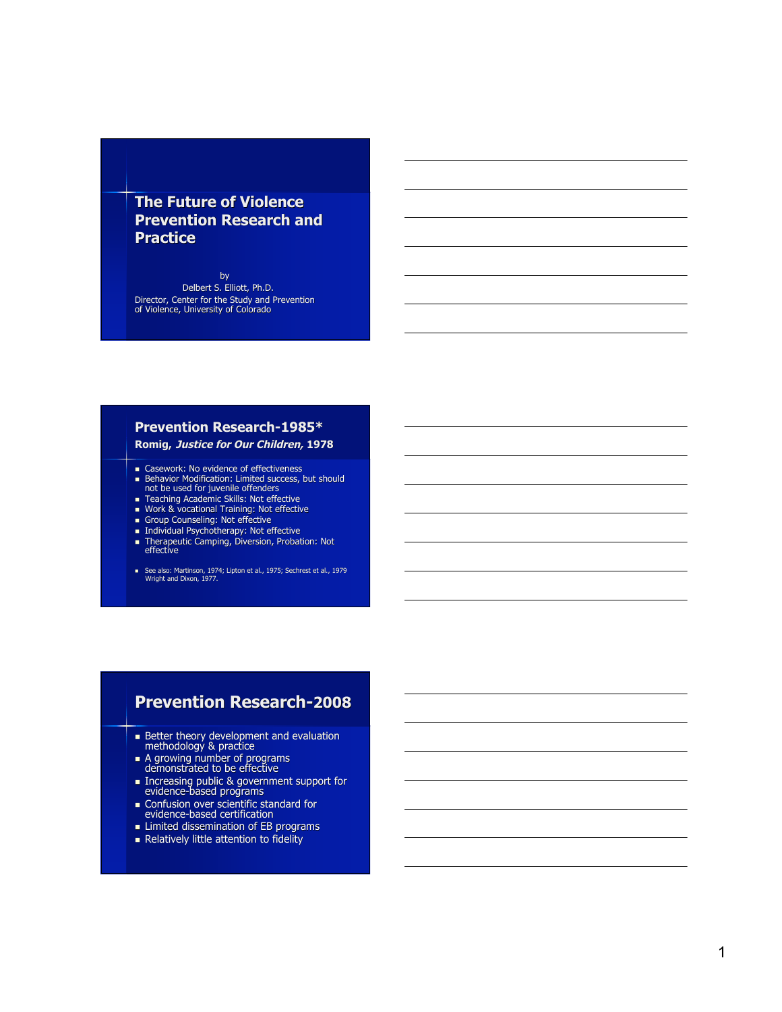### **The Future of Violence Prevention Research and P ra ct i ce**

b y Delbert S. Elliott, Ph.D. Director, Center for the Study and Prevention<br>of Violence, University of Colorado

#### **Prevention Research-1985\***

#### **Romig, Justice for Our Children, 197 8**

- **Exercise Casework: No evidence of effectiveness**
- Behavior Modification: Limited success, but should<br>not be used for juvenile offenders
- **Teaching Academic Skills: Not effective**
- **Work & vocational Training: Not effective**
- **Group Counseling: Not effective**
- Individual Psychotherapy: Not effective
- Therapeutic Camping, Diversion, Probation: Not<br>effective
- See also: Martinson, 1974; Lipton et al., 1975; Sechrest et al., 1979<br>Wright and Dixon, 1977.

#### Prevention Research-2008

- Better theory development and evaluation<br>methodology & practice
- A growing number of programs<br>demonstrated to be effective
- Increasing public & government support for<br>evidence-based programs
- Confusion over scientific standard for<br>evidence-based certification
- **EB** programs
- **Relatively little attention to fidelity**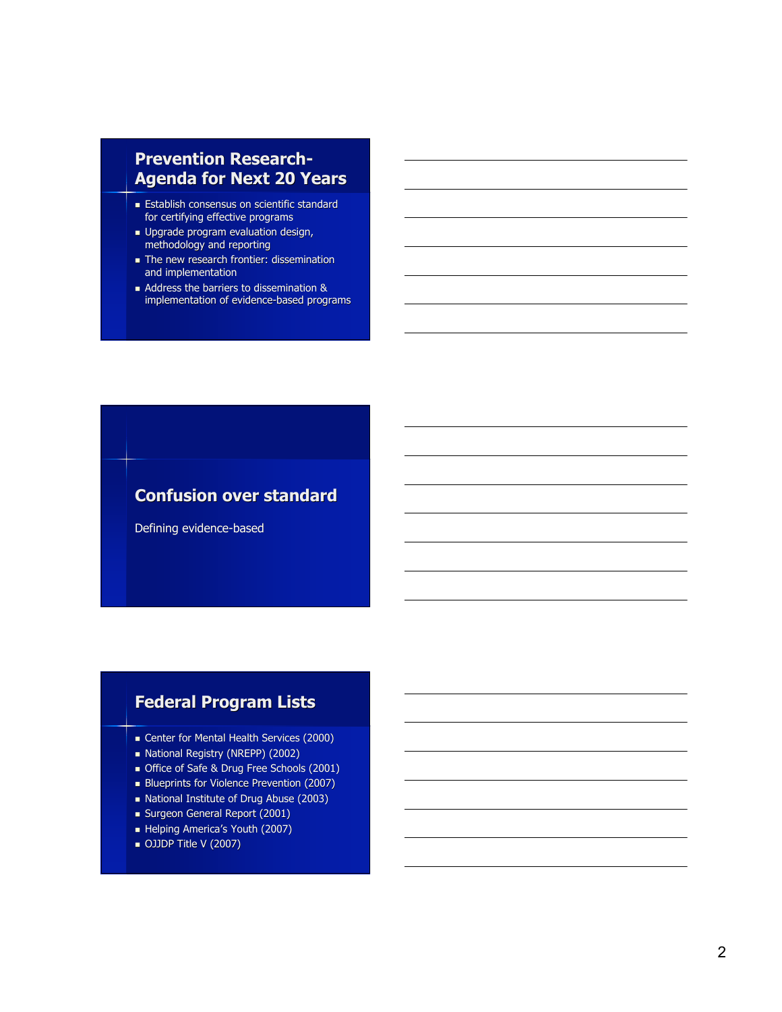# **Prevention Research-Agenda for Next 20 Years**

- **Establish consensus on scientific standard** for certifying effective programs
- **Upgrade program evaluation design,** methodology and reporting
- The new research frontier: dissemination and implementation
- Address the barriers to dissemination & implementation of evidence-based programs

# **Confusion over standard**

Defining evidence-based

# **Federal Program Lists**

- **Center for Mental Health Services (2000)**
- National Registry (NREPP) (2002)
- Office of Safe & Drug Free Schools (2001)
- Blueprints for Violence Prevention (2007)
- National Institute of Drug Abuse (2003)
- Surgeon General Report (2001)
- Helping America's Youth (2007)
- OJJDP Title V (2007)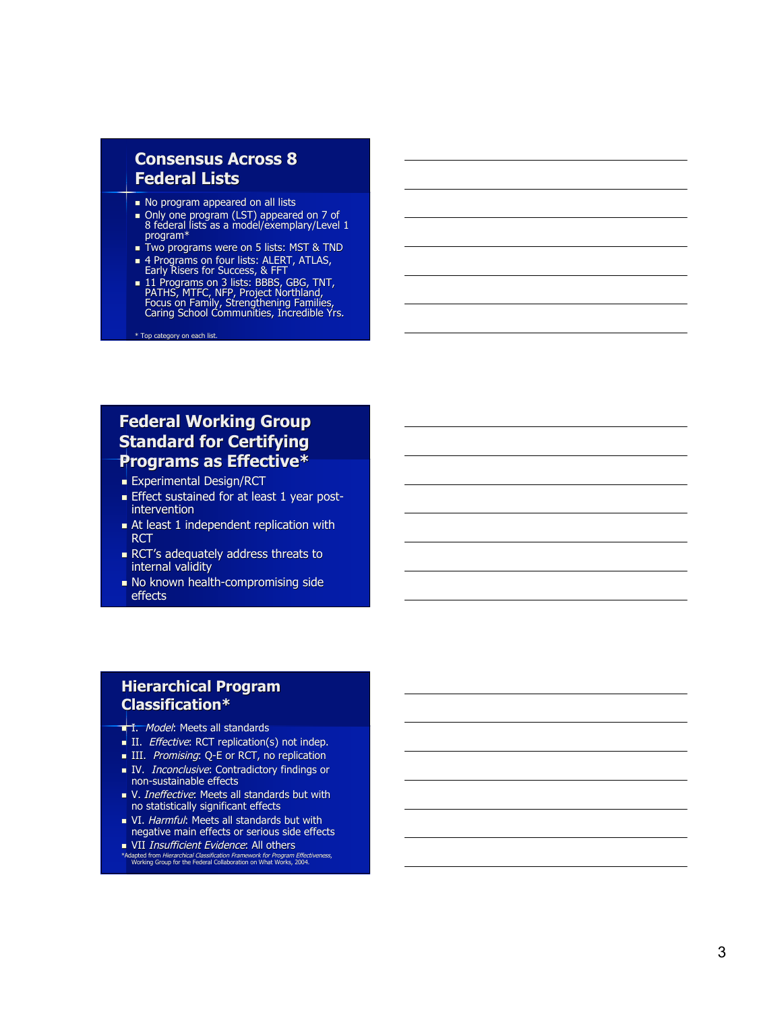### **consensus Across 8 Federal Lists**

- No program appeared on all lists
- Only one program (LST) appeared on 7 of<br>8 federal lists as a model/exemplary/Level 1<br>program\*
- **Two programs were on 5 lists: MST & TND**
- 4 Programs on four lists: ALERT, ATLAS,<br>Early Risers for Success, & FFT
- 11 Programs on 3 lists: BBBS, GBG, TNT,<br>PATHS, MTFC, NFP, Project Northland,<br>Focus on Family, Strengthening Families,<br>Caring School Communities, Incredible Yrs.

\* Top category on each list.

## **Federal Working Group Standard for Certifying Programs as Effective\***

- **Experimental Design/RCT**
- Effect sustained for at least 1 year postintervention
- Independent replication with **RCT**
- **RCT's adequately address threats to** internal validity
- No known health-compromising side effects

#### **Hierarchical Program C l a s s i fi ca t i o n \***

- **T.** Model: Meets all standards
- II. Effective: RCT replication(s) not indep.
- III. Promising: Q-E or RCT, no replication
- **IV.** Inconclusive: Contradictory findings or non-sustainable effects
- V. Ineffective: Meets all standards but with no statistically significant effects
- VI. Harmful: Meets all standards but with negative main effects or serious side effects
- VII *Insufficient Evidence*: All others
- \*Adapted from Hierarchical Classification Framework for Program Effectiveness,<br>Working Group for the Federal Collaboration on What Works, 2004.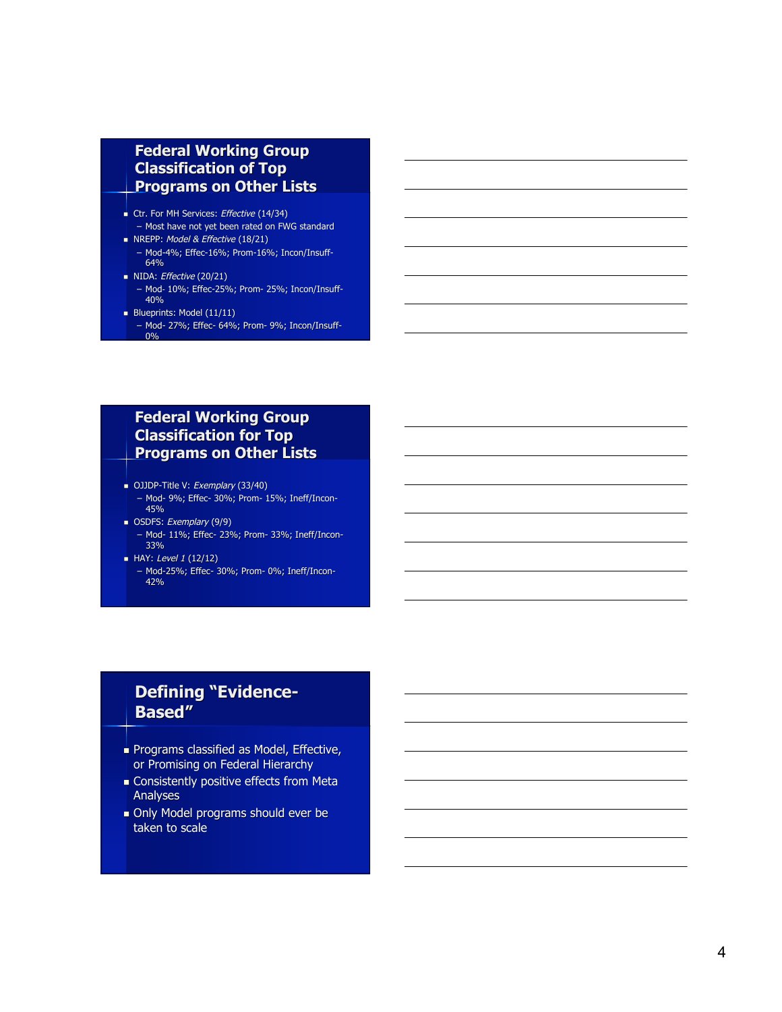### **Federal Working Group Classification of Top Programs on Other Lists**

- Ctr. For MH Services: Effective (14/34)
- Most have not yet been rated on FWG standard NREPP: Model & Effective (18/21)
	- Mod-4%; Effec-16%; Prom-16%; Incon/Insuff-64%
- $\blacksquare$  NIDA: *Effective* (20/21)
- Mod- 10%; Effec-25%; Prom- 25%; Incon/Insuff-40%
- Blueprints: Model  $(11/11)$
- Mod- 27%; Effec- 64%; Prom- 9%; Incon/Insuff-0%

### **Federal Working Group Classification for Top Programs on Other Lists**

- OJJDP-Title V: Exemplary (33/40)
- Mod- 9%; Effec- 30%; Prom- 15%; Ineff/Incon-4 5 %
- OSDFS: Exemplary (9/9)
	- Mod- 11%; Effec- 23%; Prom- 33%; Ineff/Incon-3 3 %
- **HAY:** Level 1 (12/12)
	- Mod-25%; Effec- 30%; Prom- 0%; Ineff/Incon-4 2 %

## **Defining "Evidence-B a s e d "**

- Programs classified as Model, Effective, or Promising on Federal Hierarchy
- Consistently positive effects from Meta **Analyses**
- Only Model programs should ever be t a ke n t o s c ale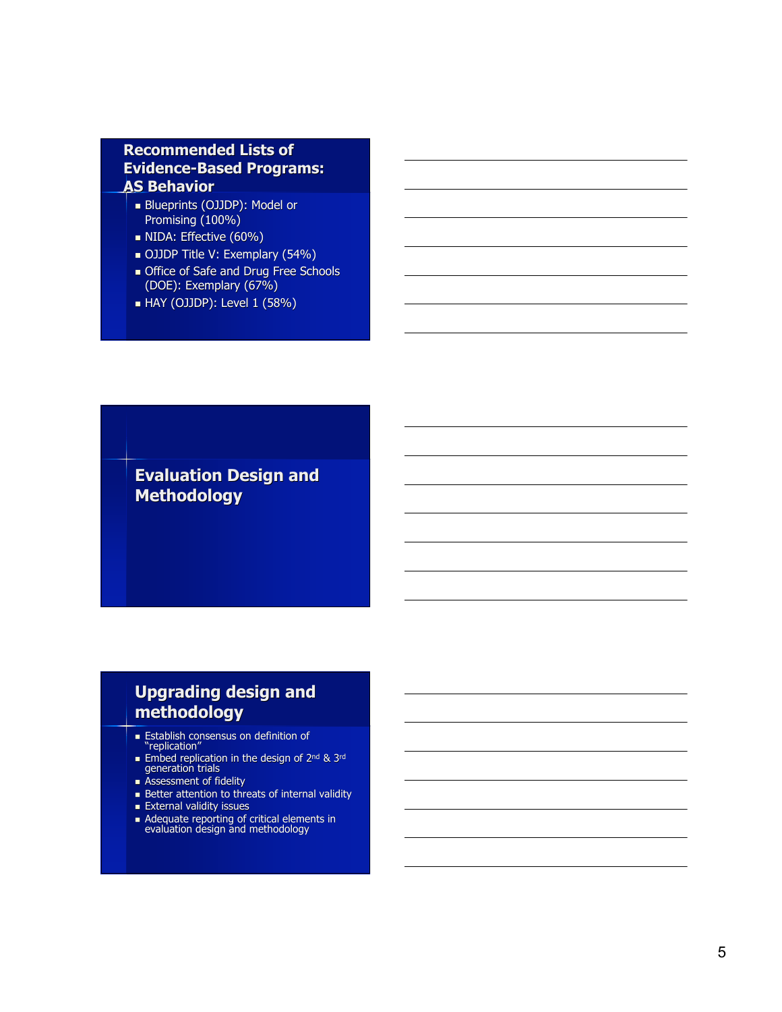### **Recommended Lists of Evidence-Based Programs: AS Behavior**

- Blueprints (OJJDP): Model or Promising (100%)
- **NIDA: Effective (60%)**
- OJJDP Title V: Exemplary (54%)
- **Office of Safe and Drug Free Schools** (DOE): Exemplary (67%)
- HAY (OJJDP): Level 1 (58%)

**Evaluation Design and Methodology**

# **Upgrading design and methodology**

- Establish consensus on definition of "replication"
- Embed replication in the design of 2<sup>nd</sup> & 3<sup>rd</sup><br>generation trials
- **Assessment of fidelity**
- Better attention to threats of internal validity
- **External validity issues**
- Adequate reporting of critical elements in evaluation design and methodology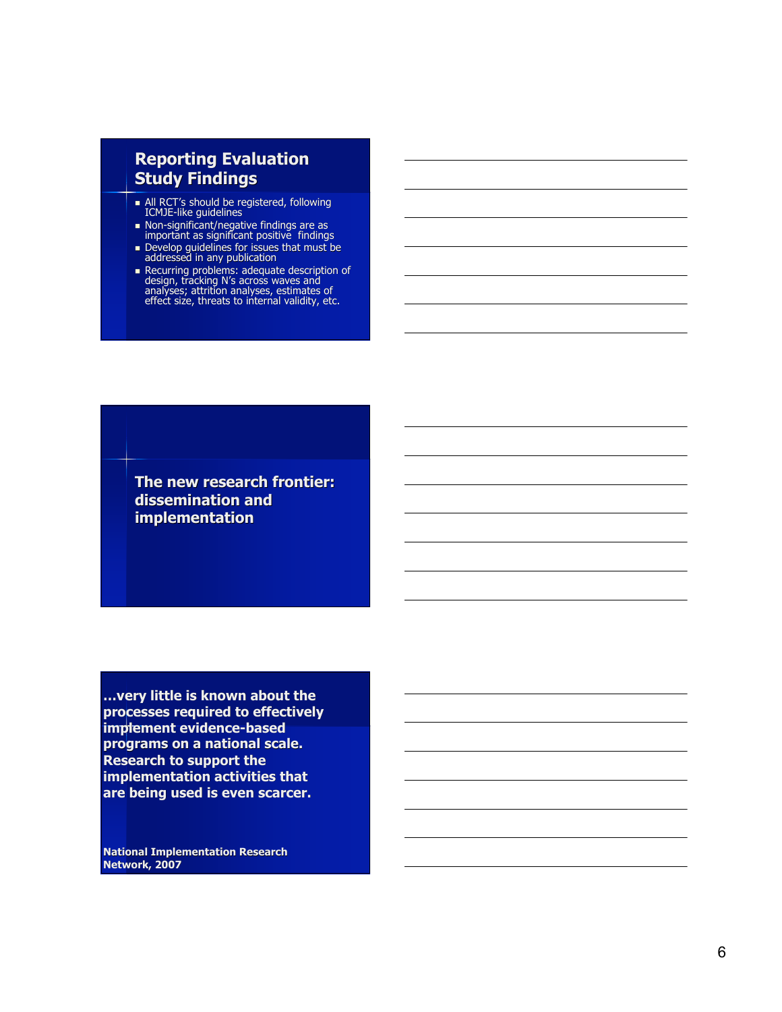# **Reporting Evaluation Study Findings**

- All RCT's should be registered, following ICMJE-like guidelines
- Non-significant/negative findings are as important as significant positive findings
- Develop guidelines for issues that must be addressed in any publication
- Recurring problems: adequate description of design, tracking N's across waves and analyses; attrition analyses, estimates of effect size, threats to internal validity, etc.

**The new research frontier: dissemination and implementation**

**…very little is known about the processes required to effectively implement evidence-based programs on a national scale. Research to support the implementation activities that are being used is even scarcer.**

**National Implementation Research Network, 2007**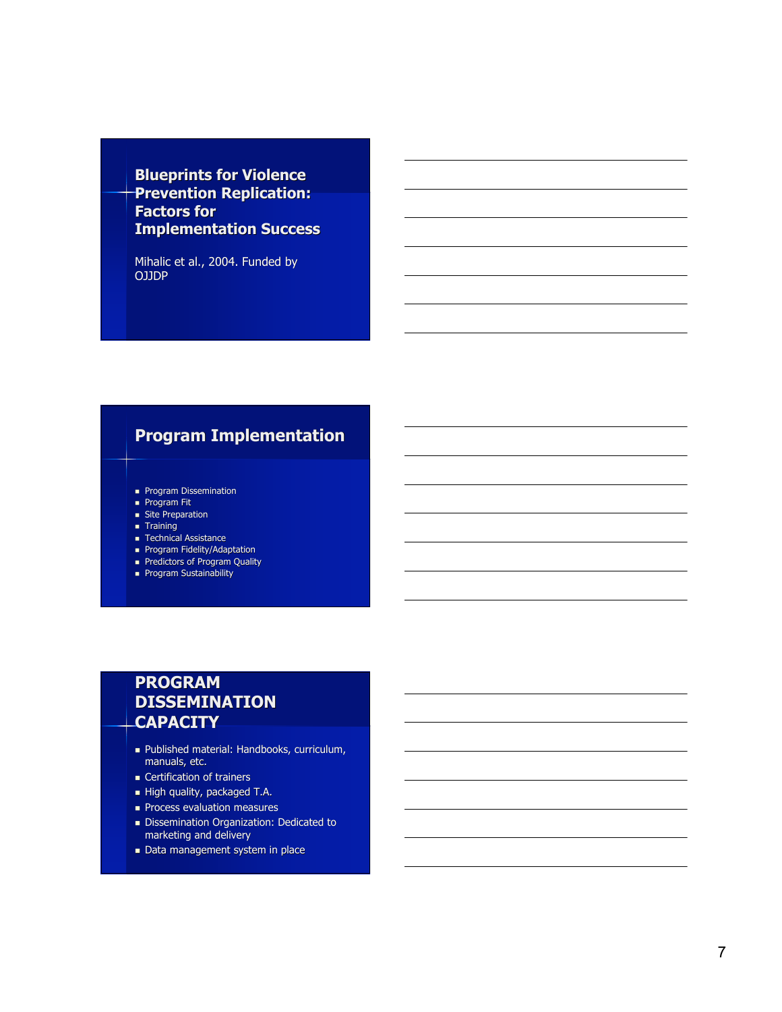### **Blueprints for Violence Prevention Replication: F a cto rs fo r Implementation Success**

Mihalic et al., 2004. Funded by O J J D P

### **Program Implementation**

- **Program Dissemination**
- **Program Fit**
- **site Preparation**
- **Training**
- **Technical Assistance**
- **Program Fidelity/Adaptation**
- **Predictors of Program Quality**
- **Program Sustainability**

# **PROGRAM DISSEMINATION CA PAC I TY**

- Dublished material: Handbooks, curriculum, manuals, etc.
- **Certification of trainers**
- High quality, packaged T.A.
- **Process evaluation measures**
- Dissemination Organization: Dedicated to marketing and delivery
- **Data management system in place**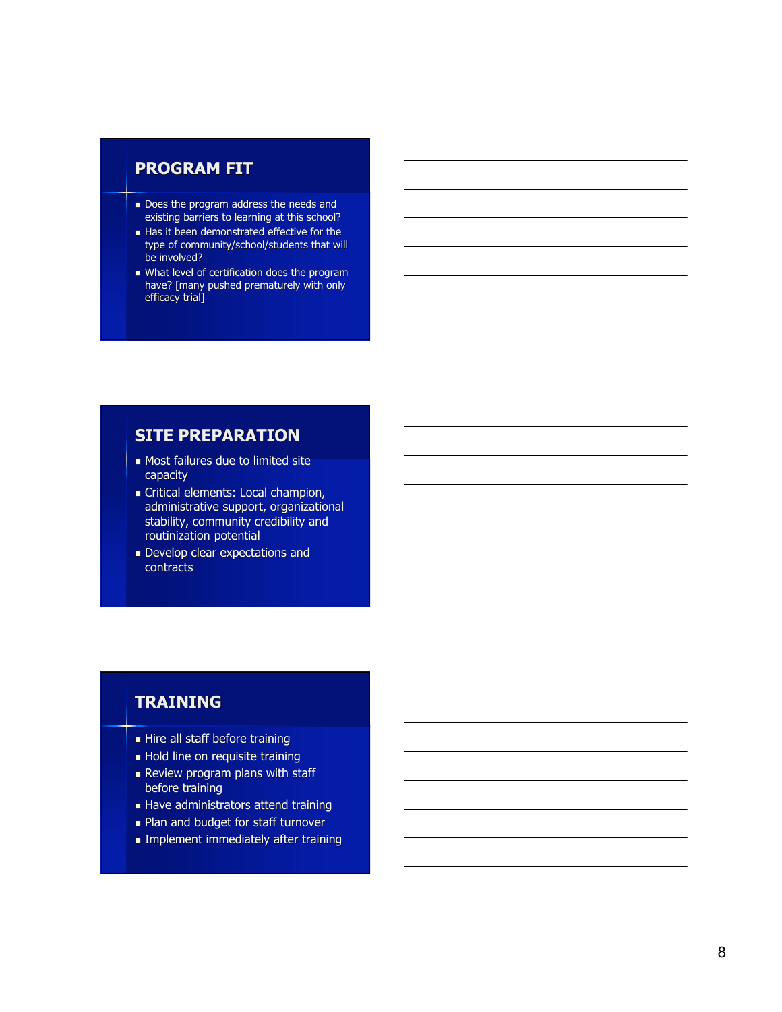### **PROGRAM FIT**

- Does the program address the needs and existing barriers to learning at this school?
- I Has it been demonstrated effective for the type of community/school/students that will be involved?
- What level of certification does the program have? [many pushed prematurely with only efficacy trial]

#### **SITE PREPARATION**

- **Most failures due to limited site** capacity
- **Critical elements: Local champion,** administrative support, organizational stability, community credibility and routinization potential
- **Develop clear expectations and** contracts

### **T RA I N I N G**

- Hire all staff before training
- Hold line on requisite training
- **Review program plans with staff** before training
- Have administrators attend training
- **Plan and budget for staff turnover**
- **Implement immediately after training**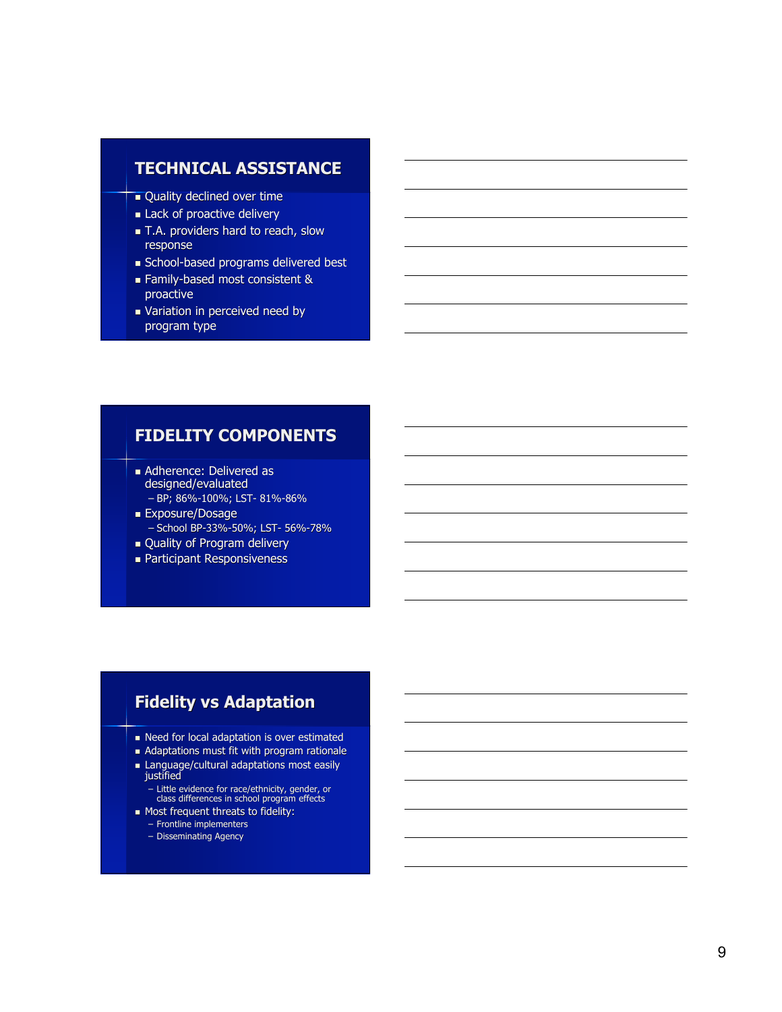### $\tanh$ **TECHNICAL ASSISTANCE**

- **Quality declined over time**
- Lack of proactive delivery
- T.A. providers hard to reach, slow response
- School-based programs delivered best
- **Family-based most consistent &** proactive
- Variation in perceived need by program type

### **FIDELITY COMPONENTS**

- **Adherence: Delivered as** designed/evaluated – BP; 86%-100%; LST- 81%-86%
- **Exposure/Dosage** – School BP-33%-50%; LST- 56%-78%
- **Quality of Program delivery**
- Participant Responsiveness

### **Fidelity vs Adaptation**

- laced for local adaptation is over estimated
- Adaptations must fit with program rationale
- Language/cultural adaptations most easily justified
	- Little evidence for race/ethnicity, gender, or<br>class differences in school program effects
- **Most frequent threats to fidelity:** 
	- Frontline implementers
	- Disseminating Agency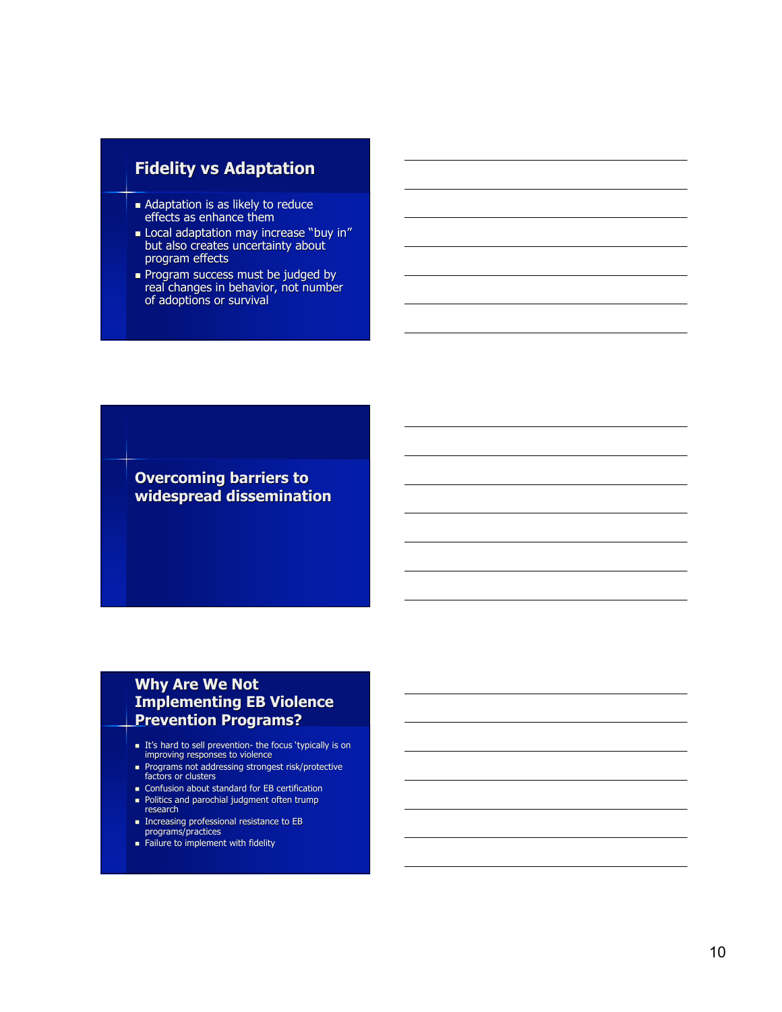### **Fidelity vs Adaptation**

- Adaptation is as likely to reduce effects as enhance them
- Local adaptation may increase "buy in" but also creates uncertainty about program effects
- Program success must be judged by real changes in behavior, not number of adoptions or survival

**Overcoming barriers to widespread dissemination**

### **Why Are We Not Implementing EB Violence Prevention Programs?**

- It's hard to sell prevention- the focus 'typically is on<br>improving responses to violence
- Programs not addressing strongest risk/protective factors or clusters
- **Confusion about standard for EB certification**
- **Politics and parochial judgment often trump** research
- Increasing professional resistance to EB programs/practices
- 
- **Failure to implement with fidelity**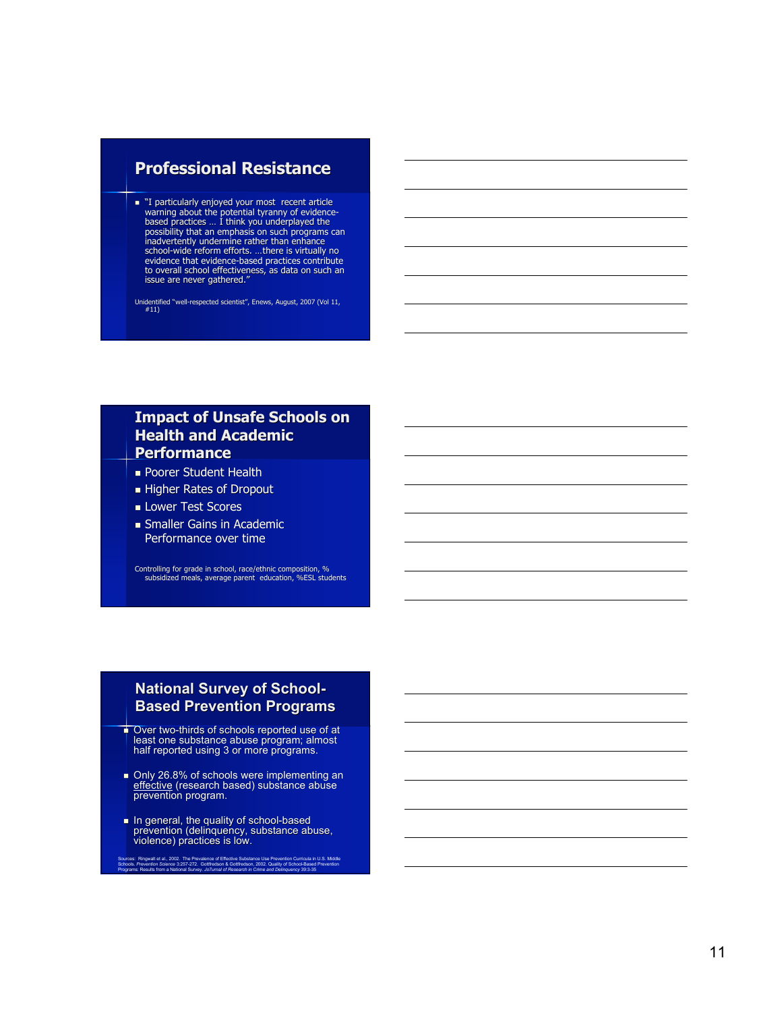### **Professional Resistance**

To internal the potential tyranny of evidence warning about the potential tyranny of evidence-<br>based practices ... I think you underplayed the<br>possibility that an emphasis on such programs can<br>inadvertently undermine rathe evidence that evidence-based practices contribute<br>to overall school effectiveness, as data on such an<br>issue are never gathered."

Unidentified " well-respected scientist " , Enews , August, 2007 ( Vol 11, #11)

### Impact of Unsafe Schools on **Health and Academic P e rfo r m a n ce**

- **Poorer Student Health**
- **Higher Rates of Dropout**
- **Lower Test Scores**
- **Smaller Gains in Academic** Performance over time

Controlling for grade in school, race/ethnic composition, %<br>subsidized meals, average parent education, %ESL students

#### National Survey of School-**Based Prevention Programs**

- ÷. Over two-thirds of schools reported use of at<br>least one substance abuse program; almost<br>half reported using 3 or more programs.
- Only 26.8% of schools were implementing an effective (research based) substance abuse prevention program.
- In general, the quality of school-based<br>prevention (delinquency, substance abuse,<br>violence) practices is low.

u is: Ringwalt et al., 2002. The Prevalence of Effective Substance Use Prevention Curricula in U.S. Middle<br>is. Prevention Science 3:257-272. Gottfredson & Gottfredson, 2002. Quality of School-Based Prevention<br>ms: Results o P r a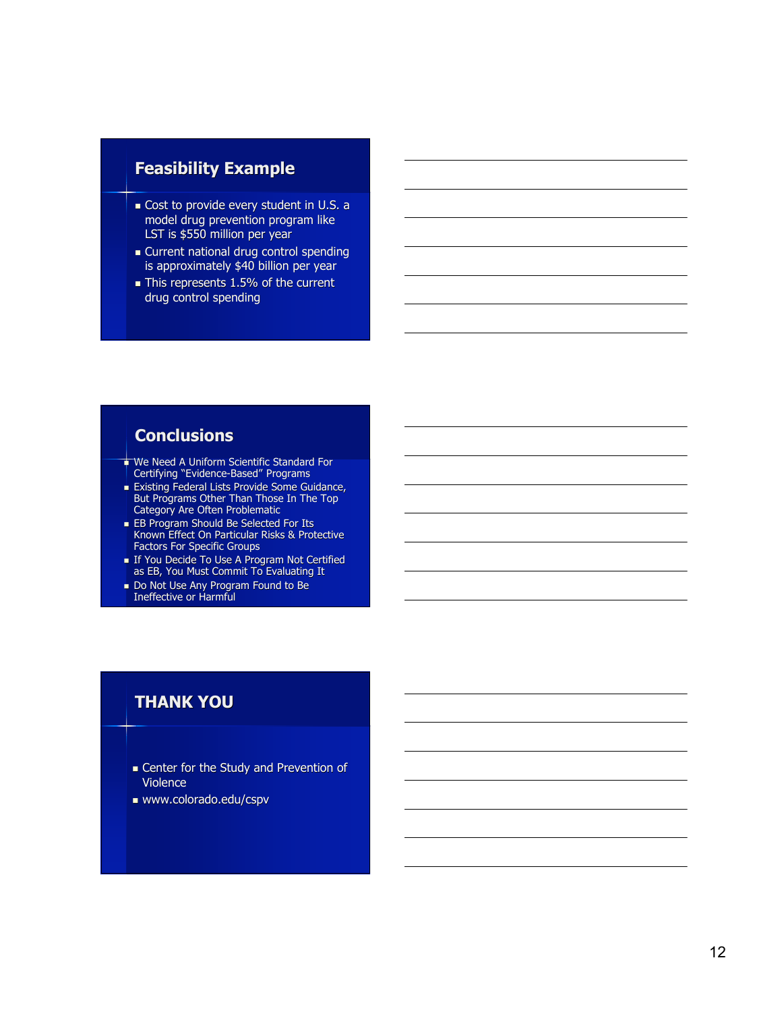# **Feasibility Example**

- Cost to provide every student in U.S. a model drug prevention program like LST is \$550 million per year
- **Current national drug control spending** is approximately \$40 billion per year
- This represents 1.5% of the current drug control spending

# **Conclusions**

- ↓ We Need A Uniform Scientific Standard For Certifying "Evidence-Based" Programs
- **Existing Federal Lists Provide Some Guidance,** But Programs Other Than Those In The Top Category Are Often Problematic
- **EB Program Should Be Selected For Its** Known Effect On Particular Risks & Protective Factors For Specific Groups
- If You Decide To Use A Program Not Certified as EB, You Must Commit To Evaluating It
- Do Not Use Any Program Found to Be Ineffective or Harmful

# **THANK YOU**

- Center for the Study and Prevention of Violence
- www.colorado.edu/cspv